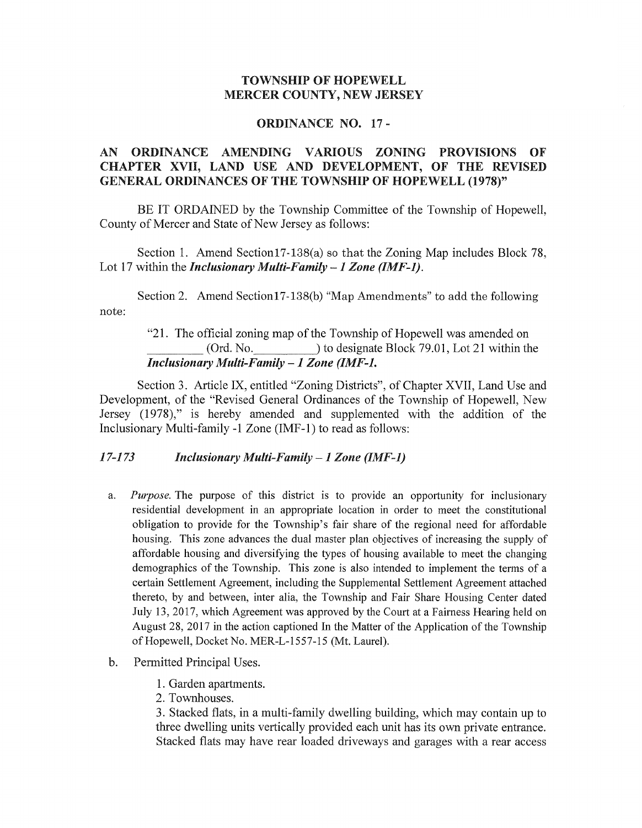## TOWNSHIP OF HOPEWELL MERCER COUNTY, NEW JERSEY

#### ORDINANCE NO. 17 -

# AN ORDINANCE AMENDING VARIOUS ZONING PROVISIONS OF CHAPTER XVII, LAND USE AND DEVELOPMENT, OF THE REVISED GENERAL ORDINANCES OF THE TOWNSHIP OF HOPEWELL (1978)"

BE IT ORDAINED by the Township Committee of the Township of Hopewell, County of Mercer and State of New Jersey as follows:

Section 1. Amend Section 17-138(a) so that the Zoning Map includes Block 78, Lot 17 within the *Inclusionary Multi-Family-1 Zone (IMF-1).* 

Section 2. Amend Section 17-138(b) "Map Amendments" to add the following note:

# "21. The official zoning map of the Township of Hopewell was amended on (Ord. No. ) to designate Block 79.01, Lot 21 within the *Inclusionary Multi-Family -1 Zone (IMF-1.*

Section 3. Article IX, entitled "Zoning Districts", of Chapter XVII, Land Use and Development, of the "Revised General Ordinances of the Township of Hopewell, New Jersey (1978)," is hereby amended and supplemented with the addition of the Inclusionary Multi-family -1 Zone (IMF-I) to read as follows:

# *17-173 Inclusionary Multi-Family-1 Zone (IMF-1)*

- a. *Purpose.* The purpose of this district is to provide an opportunity for inclusionary residential development in an appropriate location in order to meet the constitutional obligation to provide for the Township's fair share of the regional need for affordable housing. This zone advances the dual master plan objectives of increasing the supply of affordable housing and diversifying the types of housing available to meet the changing demographics of the Township. This zone is also intended to implement the terms of a certain Settlement Agreement, including the Supplemental Settlement Agreement attached thereto, by and between, inter alia, the Township and Fair Share Housing Center dated July 13, 2017, which Agreement was approved by the Court at a Fairness Hearing held on August 28, 2017 in the action captioned In the Matter of the Application of the Township of Hopewell, Docket No. MER-L-1557-15 (Mt. Laurel).
- b. Permitted Principal Uses.
	- 1. Garden apartments.
	- 2. Townhouses.

3. Stacked flats, in a multi-family dwelling building, which may contain up to three dwelling units vertically provided each unit has its own private entrance. Stacked flats may have rear loaded driveways and garages with a rear access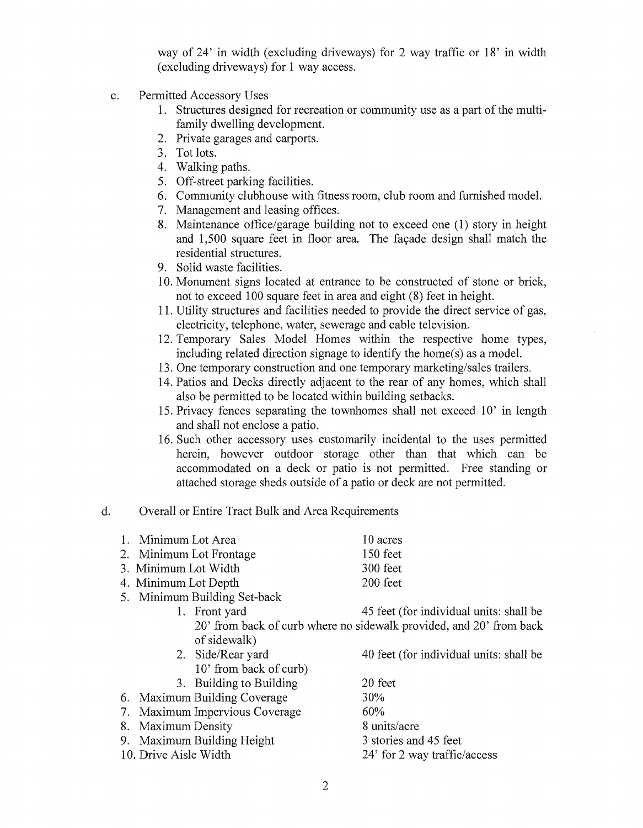way of 24' in width (excluding driveways) for 2 way traffic or 18' in width (excluding driveways) for 1 way access.

- c. Permitted Accessory Uses
	- 1. Structures designed for recreation or community use as a part of the multifamily dwelling development.
	- 2. Private garages and carports.
	- 3. Tot lots.
	- 4. Walking paths.
	- 5. Off-street parking facilities.
	- 6. Community clubhouse with fitness room, club room and furnished model.
	- 7. Management and leasing offices.
	- 8. Maintenance office/garage building not to exceed one (1) story in height and 1,500 square feet in floor area. The facade design shall match the residential structures.
	- 9. Solid waste facilities.
	- 10. Monument signs located at entrance to be constructed of stone or brick, not to exceed 100 square feet in area and eight (8) feet in height.
	- 11. Utility structures and facilities needed to provide the direct service of gas, electricity, telephone, water, sewerage and cable television.
	- 12. Temporary Sales Model Homes within the respective home types, including related direction signage to identify the home(s) as a model.
	- 13. One temporary construction and one temporary marketing/sales trailers.
	- 14. Patios and Decks directly adjacent to the rear of any homes, which shall also be permitted to be located within building setbacks.
	- 15. Privacy fences separating the townhomes shall not exceed 10' in length and shall not enclose a patio.
	- 16. Such other accessory uses customarily incidental to the uses permitted herein, however outdoor storage other than that which can be accommodated on a deck or patio is not permitted. Free standing or attached storage sheds outside of a patio or deck are not permitted.

## d. Overall or Entire Tract Bulk and Area Requirements

|                       | 1. Minimum Lot Area                                                 |                                    | 10 acres                                |
|-----------------------|---------------------------------------------------------------------|------------------------------------|-----------------------------------------|
|                       | 2. Minimum Lot Frontage                                             |                                    | 150 feet                                |
|                       | 3. Minimum Lot Width                                                |                                    | 300 feet                                |
|                       | 4. Minimum Lot Depth                                                |                                    | 200 feet                                |
|                       | 5. Minimum Building Set-back                                        |                                    |                                         |
|                       |                                                                     | 1. Front yard                      | 45 feet (for individual units: shall be |
|                       | 20' from back of curb where no sidewalk provided, and 20' from back |                                    |                                         |
|                       |                                                                     | of sidewalk)                       |                                         |
|                       |                                                                     | 2. Side/Rear yard                  | 40 feet (for individual units: shall be |
|                       |                                                                     | 10 <sup>'</sup> from back of curb) |                                         |
|                       |                                                                     | 3. Building to Building            | 20 feet                                 |
|                       |                                                                     | 6. Maximum Building Coverage       | 30%                                     |
|                       |                                                                     | 7. Maximum Impervious Coverage     | 60%                                     |
|                       | 8. Maximum Density                                                  |                                    | 8 units/acre                            |
|                       | 9. Maximum Building Height                                          |                                    | 3 stories and 45 feet                   |
| 10. Drive Aisle Width |                                                                     |                                    | 24' for 2 way traffic/access            |
|                       |                                                                     |                                    |                                         |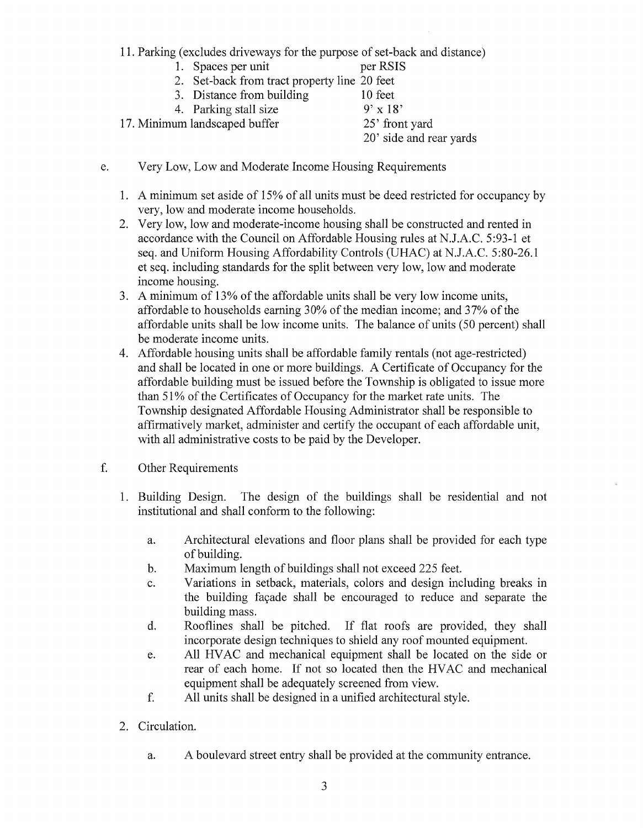11. Parking (excludes driveways for the purpose of set-back and distance)

| 1. Spaces per unit                           | per RSIS                |
|----------------------------------------------|-------------------------|
| 2. Set-back from tract property line 20 feet |                         |
| 3. Distance from building                    | 10 feet                 |
| 4. Parking stall size                        | $9' \times 18'$         |
| 17. Minimum landscaped buffer                | 25' front yard          |
|                                              | 20' side and rear yards |
|                                              |                         |

- e. Very Low, Low and Moderate Income Housing Requirements
	- 1. A minimum set aside of 15% of all units must be deed restricted for occupancy by very, low and moderate income households.
	- 2. Very low, low and moderate-income housing shall be constructed and rented in accordance with the Council on Affordable Housing rules at N.J.A.C. 5:93-1 et seq. and Uniform Housing Affordability Controls (UHAC) at N.J.A.C. 5:80-26.1 et seq. including standards for the split between very low, low and moderate income housing.
	- 3. A minimum of 13% of the affordable units shall be very low income units, affordable to households earning 30% of the median income; and 37% of the affordable units shall be low income units. The balance of units (50 percent) shall be moderate income units.
	- 4. Affordable housing units shall be affordable family rentals (not age-restricted) and shall be located in one or more buildings. A Certificate of Occupancy for the affordable building must be issued before the Township is obligated to issue more than 51% of the Certificates of Occupancy for the market rate units. The Township designated Affordable Housing Administrator shall be responsible to affirmatively market, administer and certify the occupant of each affordable unit, with all administrative costs to be paid by the Developer.
- f. Other Requirements
	- 1. Building Design. The design of the buildings shall be residential and not institutional and shall conform to the following:
		- a. Architectural elevations and floor plans shall be provided for each type of building.
		- b. Maximum length of buildings shall not exceed 225 feet.
		- c. Variations in setback, materials, colors and design including breaks in the building façade shall be encouraged to reduce and separate the building mass.
		- d. Rooflines shall be pitched. If flat roofs are provided, they shall incorporate design techniques to shield any roof mounted equipment.
		- e. All HV AC and mechanical equipment shall be located on the side or rear of each home. If not so located then the HV AC and mechanical equipment shall be adequately screened from view.
		- f. All units shall be designed in a unified architectural style.
	- 2. Circulation.
		- a. A boulevard street entry shall be provided at the community entrance.